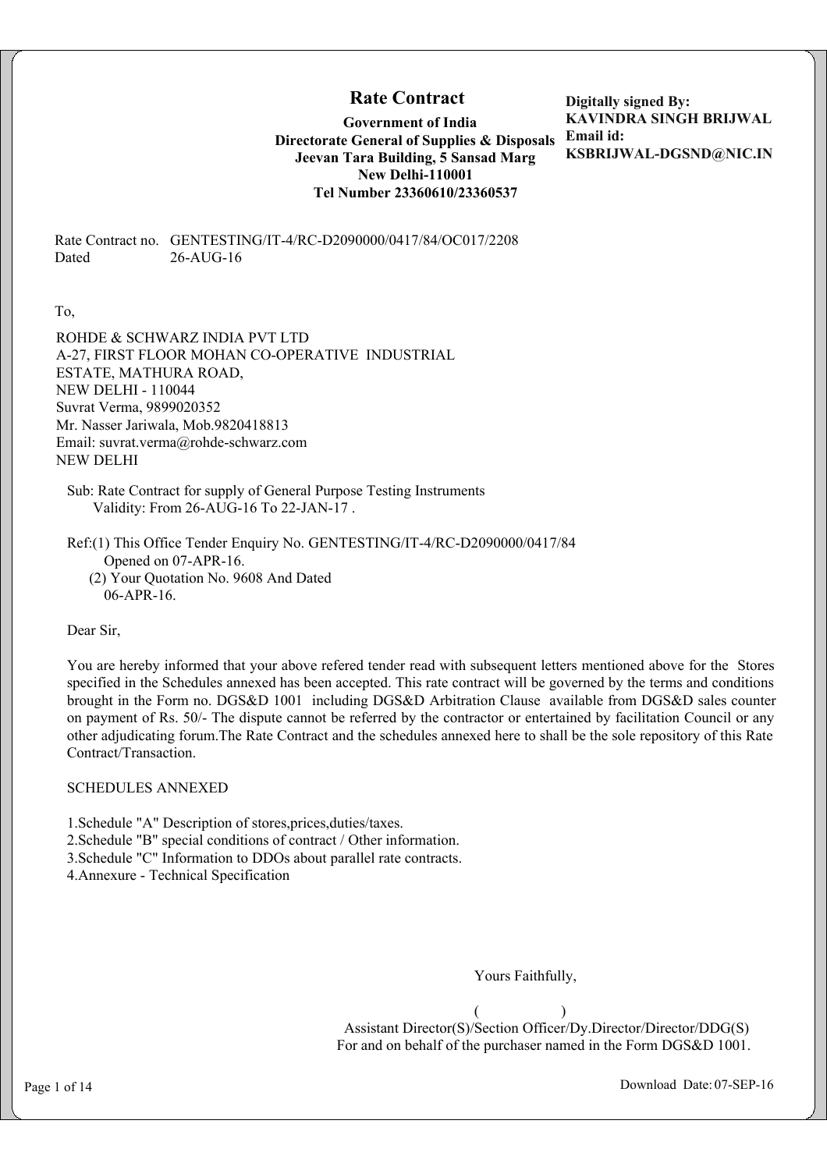# **Rate Contract**

**Government of India Directorate General of Supplies & Disposals Email id: Jeevan Tara Building, 5 Sansad Marg New Delhi-110001 Tel Number 23360610/23360537**

**Digitally signed By: KAVINDRA SINGH BRIJWAL KSBRIJWAL-DGSND@NIC.IN**

Rate Contract no. GENTESTING/IT-4/RC-D2090000/0417/84/OC017/2208 Dated 26-AUG-16

To,

ROHDE & SCHWARZ INDIA PVT LTD A-27, FIRST FLOOR MOHAN CO-OPERATIVE INDUSTRIAL ESTATE, MATHURA ROAD, NEW DELHI - 110044 Suvrat Verma, 9899020352 Mr. Nasser Jariwala, Mob.9820418813 Email: suvrat.verma@rohde-schwarz.com NEW DELHI

Sub: Rate Contract for supply of General Purpose Testing Instruments Validity: From 26-AUG-16 To 22-JAN-17 .

Ref:(1) This Office Tender Enquiry No. GENTESTING/IT-4/RC-D2090000/0417/84 Opened on 07-APR-16. (2) Your Quotation No. 9608 And Dated 06-APR-16.

Dear Sir,

You are hereby informed that your above refered tender read with subsequent letters mentioned above for the Stores specified in the Schedules annexed has been accepted. This rate contract will be governed by the terms and conditions brought in the Form no. DGS&D 1001 including DGS&D Arbitration Clause available from DGS&D sales counter on payment of Rs. 50/- The dispute cannot be referred by the contractor or entertained by facilitation Council or any other adjudicating forum.The Rate Contract and the schedules annexed here to shall be the sole repository of this Rate Contract/Transaction.

SCHEDULES ANNEXED

1.Schedule "A" Description of stores,prices,duties/taxes. 2.Schedule "B" special conditions of contract / Other information. 3.Schedule "C" Information to DDOs about parallel rate contracts. 4.Annexure - Technical Specification

Yours Faithfully,

 $($  ) Assistant Director(S)/Section Officer/Dy.Director/Director/DDG(S) For and on behalf of the purchaser named in the Form DGS&D 1001.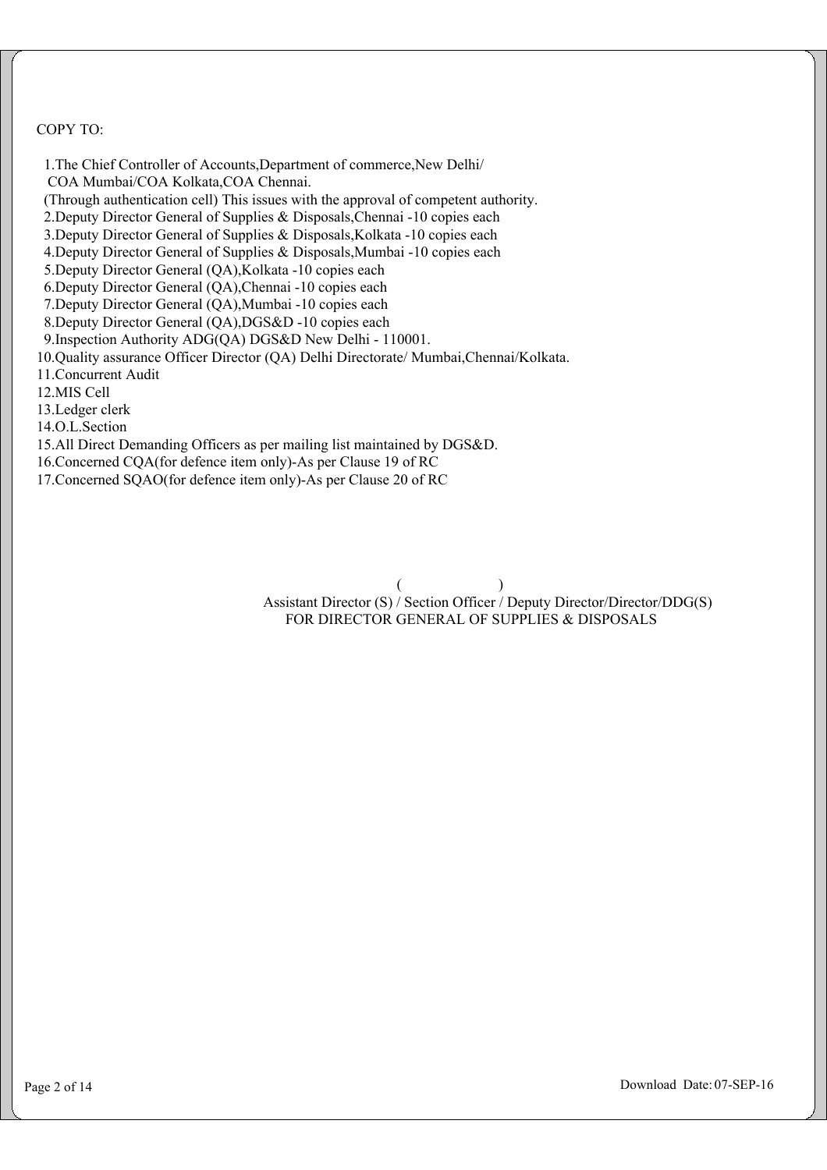COPY TO:

 1.The Chief Controller of Accounts,Department of commerce,New Delhi/ COA Mumbai/COA Kolkata,COA Chennai. (Through authentication cell) This issues with the approval of competent authority. 2.Deputy Director General of Supplies & Disposals,Chennai -10 copies each 3.Deputy Director General of Supplies & Disposals,Kolkata -10 copies each 4.Deputy Director General of Supplies & Disposals,Mumbai -10 copies each 5.Deputy Director General (QA),Kolkata -10 copies each 6.Deputy Director General (QA),Chennai -10 copies each 7.Deputy Director General (QA),Mumbai -10 copies each 8.Deputy Director General (QA),DGS&D -10 copies each 9.Inspection Authority ADG(QA) DGS&D New Delhi - 110001. 10.Quality assurance Officer Director (QA) Delhi Directorate/ Mumbai,Chennai/Kolkata. 11.Concurrent Audit 12.MIS Cell 13.Ledger clerk 14.O.L.Section 15.All Direct Demanding Officers as per mailing list maintained by DGS&D. 16.Concerned CQA(for defence item only)-As per Clause 19 of RC 17.Concerned SQAO(for defence item only)-As per Clause 20 of RC

 $($  Assistant Director (S) / Section Officer / Deputy Director/Director/DDG(S) FOR DIRECTOR GENERAL OF SUPPLIES & DISPOSALS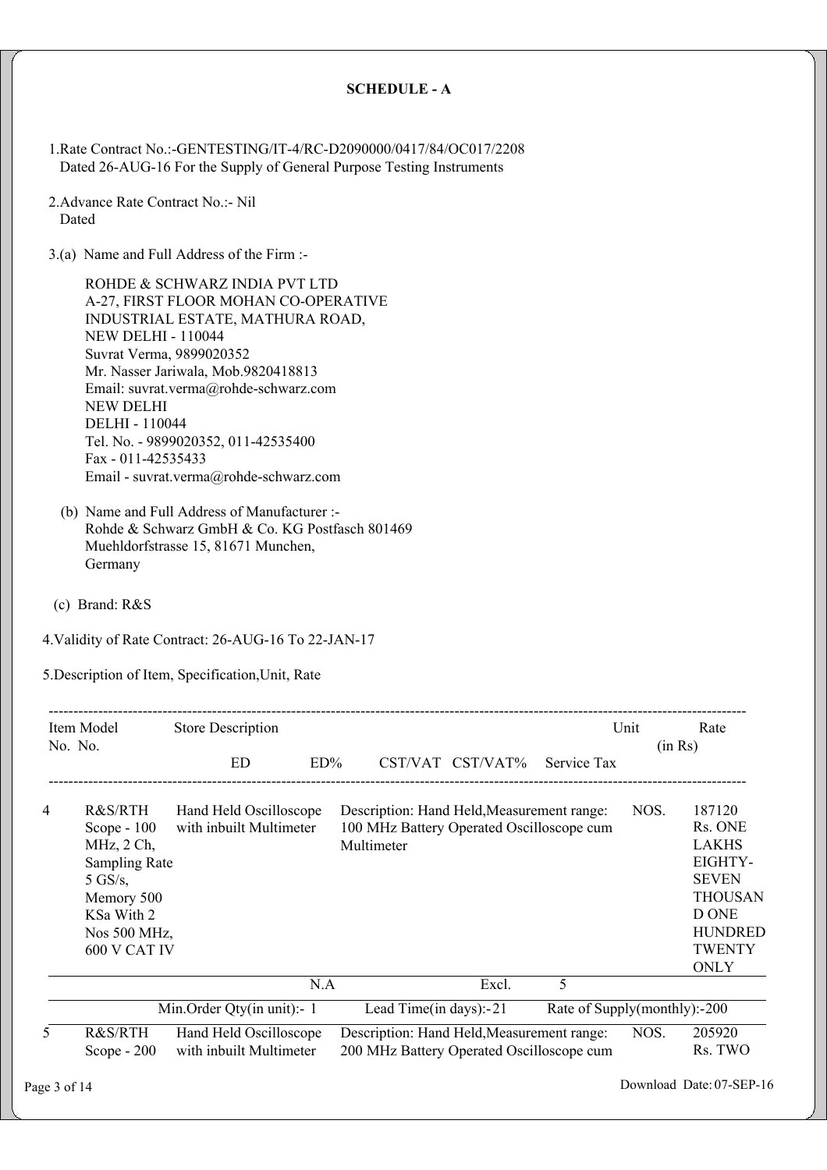#### **SCHEDULE - A**

1.Rate Contract No.:-GENTESTING/IT-4/RC-D2090000/0417/84/OC017/2208 Dated 26-AUG-16 For the Supply of General Purpose Testing Instruments

2.Advance Rate Contract No.:- Nil Dated

3.(a) Name and Full Address of the Firm :-

ROHDE & SCHWARZ INDIA PVT LTD A-27, FIRST FLOOR MOHAN CO-OPERATIVE INDUSTRIAL ESTATE, MATHURA ROAD, NEW DELHI - 110044 Suvrat Verma, 9899020352 Mr. Nasser Jariwala, Mob.9820418813 Email: suvrat.verma@rohde-schwarz.com NEW DELHI DELHI - 110044 Tel. No. - 9899020352, 011-42535400 Fax - 011-42535433 Email - suvrat.verma@rohde-schwarz.com

- (b) Name and Full Address of Manufacturer :- Rohde & Schwarz GmbH & Co. KG Postfasch 801469 Muehldorfstrasse 15, 81671 Munchen, Germany
- (c) Brand: R&S

4.Validity of Rate Contract: 26-AUG-16 To 22-JAN-17

5.Description of Item, Specification,Unit, Rate

| Item Model     |                                                                                                                                        | <b>Store Description</b>                          |        |                                                                                                       |                  |                              | Unit    | Rate                                                                                                                                      |
|----------------|----------------------------------------------------------------------------------------------------------------------------------------|---------------------------------------------------|--------|-------------------------------------------------------------------------------------------------------|------------------|------------------------------|---------|-------------------------------------------------------------------------------------------------------------------------------------------|
|                | No. No.                                                                                                                                | ED                                                | $ED\%$ |                                                                                                       | CST/VAT CST/VAT% | Service Tax                  | (in Rs) |                                                                                                                                           |
| $\overline{4}$ | R&S/RTH<br>Scope $-100$<br>MHz, 2 Ch,<br><b>Sampling Rate</b><br>$5$ GS/s,<br>Memory 500<br>KSa With 2<br>Nos 500 MHz,<br>600 V CAT IV | Hand Held Oscilloscope<br>with inbuilt Multimeter |        | Description: Hand Held, Measurement range:<br>100 MHz Battery Operated Oscilloscope cum<br>Multimeter |                  |                              | NOS.    | 187120<br>Rs. ONE<br><b>LAKHS</b><br>EIGHTY-<br><b>SEVEN</b><br><b>THOUSAN</b><br>D ONE<br><b>HUNDRED</b><br><b>TWENTY</b><br><b>ONLY</b> |
|                |                                                                                                                                        |                                                   | N.A    |                                                                                                       | Excl.            | 5                            |         |                                                                                                                                           |
|                |                                                                                                                                        | Min. Order Qty(in unit): - 1                      |        | Lead Time(in days): $-21$                                                                             |                  | Rate of Supply(monthly):-200 |         |                                                                                                                                           |
| 5.             | R&S/RTH<br>Scope $-200$                                                                                                                | Hand Held Oscilloscope<br>with inbuilt Multimeter |        | Description: Hand Held, Measurement range:<br>200 MHz Battery Operated Oscilloscope cum               |                  |                              | NOS.    | 205920<br>Rs. TWO                                                                                                                         |

Page 3 of 14 Download Date: 07-SEP-16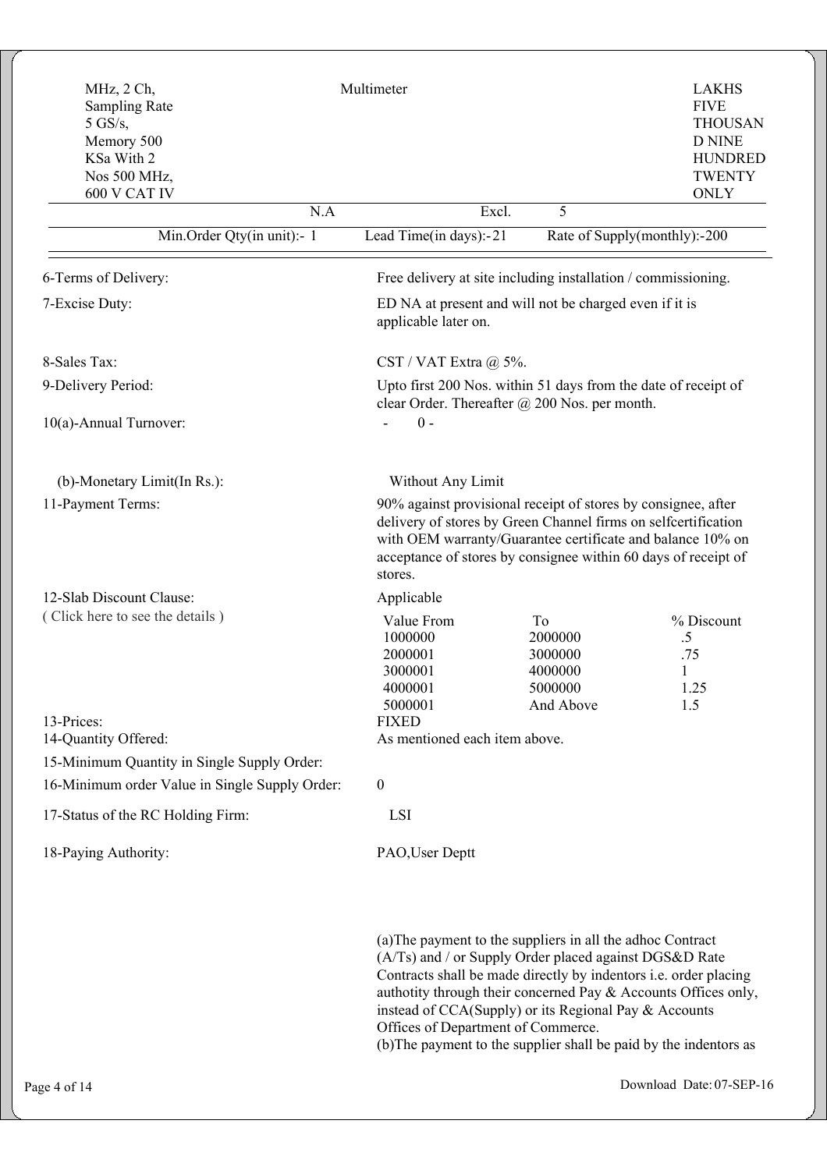| MHz, 2 Ch,<br><b>Sampling Rate</b><br>$5$ GS/s,<br>Memory 500<br>KSa With 2<br>Nos 500 MHz,<br>600 V CAT IV | Multimeter                                                                                                             |                                                                                                                                                                                                                                                                                                                                                                                                                                | <b>LAKHS</b><br><b>FIVE</b><br><b>THOUSAN</b><br><b>D NINE</b><br><b>HUNDRED</b><br><b>TWENTY</b><br><b>ONLY</b> |  |  |
|-------------------------------------------------------------------------------------------------------------|------------------------------------------------------------------------------------------------------------------------|--------------------------------------------------------------------------------------------------------------------------------------------------------------------------------------------------------------------------------------------------------------------------------------------------------------------------------------------------------------------------------------------------------------------------------|------------------------------------------------------------------------------------------------------------------|--|--|
| N.A                                                                                                         | Excl.                                                                                                                  | 5                                                                                                                                                                                                                                                                                                                                                                                                                              |                                                                                                                  |  |  |
| Min.Order Qty(in unit):- 1                                                                                  | Lead Time(in days):-21                                                                                                 | Rate of Supply(monthly):-200                                                                                                                                                                                                                                                                                                                                                                                                   |                                                                                                                  |  |  |
| 6-Terms of Delivery:                                                                                        |                                                                                                                        | Free delivery at site including installation / commissioning.                                                                                                                                                                                                                                                                                                                                                                  |                                                                                                                  |  |  |
| 7-Excise Duty:                                                                                              | applicable later on.                                                                                                   | ED NA at present and will not be charged even if it is                                                                                                                                                                                                                                                                                                                                                                         |                                                                                                                  |  |  |
| 8-Sales Tax:                                                                                                | CST / VAT Extra $(a)$ 5%.                                                                                              |                                                                                                                                                                                                                                                                                                                                                                                                                                |                                                                                                                  |  |  |
| 9-Delivery Period:                                                                                          | Upto first 200 Nos. within 51 days from the date of receipt of<br>clear Order. Thereafter $\omega$ 200 Nos. per month. |                                                                                                                                                                                                                                                                                                                                                                                                                                |                                                                                                                  |  |  |
| 10(a)-Annual Turnover:                                                                                      | $0 -$                                                                                                                  |                                                                                                                                                                                                                                                                                                                                                                                                                                |                                                                                                                  |  |  |
| (b)-Monetary Limit(In Rs.):                                                                                 | Without Any Limit                                                                                                      |                                                                                                                                                                                                                                                                                                                                                                                                                                |                                                                                                                  |  |  |
| 11-Payment Terms:                                                                                           | stores.                                                                                                                | 90% against provisional receipt of stores by consignee, after<br>delivery of stores by Green Channel firms on selfcertification<br>with OEM warranty/Guarantee certificate and balance 10% on<br>acceptance of stores by consignee within 60 days of receipt of                                                                                                                                                                |                                                                                                                  |  |  |
| 12-Slab Discount Clause:                                                                                    | Applicable                                                                                                             |                                                                                                                                                                                                                                                                                                                                                                                                                                |                                                                                                                  |  |  |
| (Click here to see the details)                                                                             | Value From<br>1000000<br>2000001<br>3000001<br>4000001<br>5000001                                                      | To<br>2000000<br>3000000<br>4000000<br>5000000<br>And Above                                                                                                                                                                                                                                                                                                                                                                    | % Discount<br>.5<br>.75<br>1<br>1.25<br>1.5                                                                      |  |  |
| 13-Prices:                                                                                                  | <b>FIXED</b>                                                                                                           |                                                                                                                                                                                                                                                                                                                                                                                                                                |                                                                                                                  |  |  |
| 14-Quantity Offered:                                                                                        | As mentioned each item above.                                                                                          |                                                                                                                                                                                                                                                                                                                                                                                                                                |                                                                                                                  |  |  |
| 15-Minimum Quantity in Single Supply Order:<br>16-Minimum order Value in Single Supply Order:               | $\boldsymbol{0}$                                                                                                       |                                                                                                                                                                                                                                                                                                                                                                                                                                |                                                                                                                  |  |  |
| 17-Status of the RC Holding Firm:                                                                           | LSI                                                                                                                    |                                                                                                                                                                                                                                                                                                                                                                                                                                |                                                                                                                  |  |  |
| 18-Paying Authority:                                                                                        | PAO, User Deptt                                                                                                        |                                                                                                                                                                                                                                                                                                                                                                                                                                |                                                                                                                  |  |  |
|                                                                                                             |                                                                                                                        | (a) The payment to the suppliers in all the adhoc Contract<br>(A/Ts) and / or Supply Order placed against DGS&D Rate<br>Contracts shall be made directly by indentors i.e. order placing<br>authotity through their concerned Pay & Accounts Offices only,<br>instead of CCA(Supply) or its Regional Pay & Accounts<br>Offices of Department of Commerce.<br>(b) The payment to the supplier shall be paid by the indentors as |                                                                                                                  |  |  |
| Page 4 of 14                                                                                                |                                                                                                                        |                                                                                                                                                                                                                                                                                                                                                                                                                                | Download Date: 07-SEP-16                                                                                         |  |  |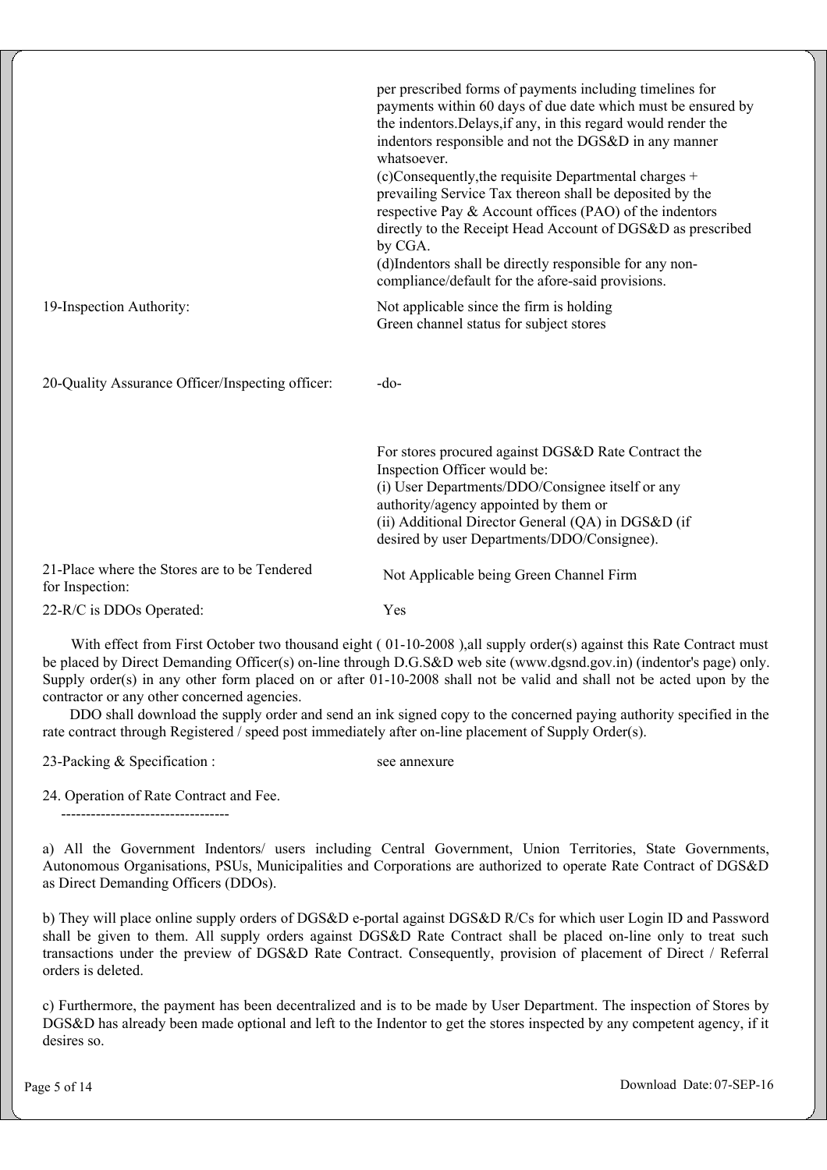|                                                                 | per prescribed forms of payments including timelines for<br>payments within 60 days of due date which must be ensured by<br>the indentors. Delays, if any, in this regard would render the<br>indentors responsible and not the DGS&D in any manner<br>whatsoever.<br>(c)Consequently, the requisite Departmental charges +<br>prevailing Service Tax thereon shall be deposited by the<br>respective Pay & Account offices (PAO) of the indentors<br>directly to the Receipt Head Account of DGS&D as prescribed<br>by CGA.<br>(d)Indentors shall be directly responsible for any non-<br>compliance/default for the afore-said provisions. |
|-----------------------------------------------------------------|----------------------------------------------------------------------------------------------------------------------------------------------------------------------------------------------------------------------------------------------------------------------------------------------------------------------------------------------------------------------------------------------------------------------------------------------------------------------------------------------------------------------------------------------------------------------------------------------------------------------------------------------|
| 19-Inspection Authority:                                        | Not applicable since the firm is holding<br>Green channel status for subject stores                                                                                                                                                                                                                                                                                                                                                                                                                                                                                                                                                          |
| 20-Quality Assurance Officer/Inspecting officer:                | $-do-$                                                                                                                                                                                                                                                                                                                                                                                                                                                                                                                                                                                                                                       |
|                                                                 | For stores procured against DGS&D Rate Contract the<br>Inspection Officer would be:<br>(i) User Departments/DDO/Consignee itself or any<br>authority/agency appointed by them or<br>(ii) Additional Director General (QA) in DGS&D (if<br>desired by user Departments/DDO/Consignee).                                                                                                                                                                                                                                                                                                                                                        |
| 21-Place where the Stores are to be Tendered<br>for Inspection: | Not Applicable being Green Channel Firm                                                                                                                                                                                                                                                                                                                                                                                                                                                                                                                                                                                                      |
| 22-R/C is DDOs Operated:                                        | Yes                                                                                                                                                                                                                                                                                                                                                                                                                                                                                                                                                                                                                                          |

With effect from First October two thousand eight (01-10-2008), all supply order(s) against this Rate Contract must be placed by Direct Demanding Officer(s) on-line through D.G.S&D web site (www.dgsnd.gov.in) (indentor's page) only. Supply order(s) in any other form placed on or after 01-10-2008 shall not be valid and shall not be acted upon by the contractor or any other concerned agencies.

 DDO shall download the supply order and send an ink signed copy to the concerned paying authority specified in the rate contract through Registered / speed post immediately after on-line placement of Supply Order(s).

23-Packing & Specification :

see annexure

24. Operation of Rate Contract and Fee.

----------------------------------

a) All the Government Indentors/ users including Central Government, Union Territories, State Governments, Autonomous Organisations, PSUs, Municipalities and Corporations are authorized to operate Rate Contract of DGS&D as Direct Demanding Officers (DDOs).

b) They will place online supply orders of DGS&D e-portal against DGS&D R/Cs for which user Login ID and Password shall be given to them. All supply orders against DGS&D Rate Contract shall be placed on-line only to treat such transactions under the preview of DGS&D Rate Contract. Consequently, provision of placement of Direct / Referral orders is deleted.

c) Furthermore, the payment has been decentralized and is to be made by User Department. The inspection of Stores by DGS&D has already been made optional and left to the Indentor to get the stores inspected by any competent agency, if it desires so.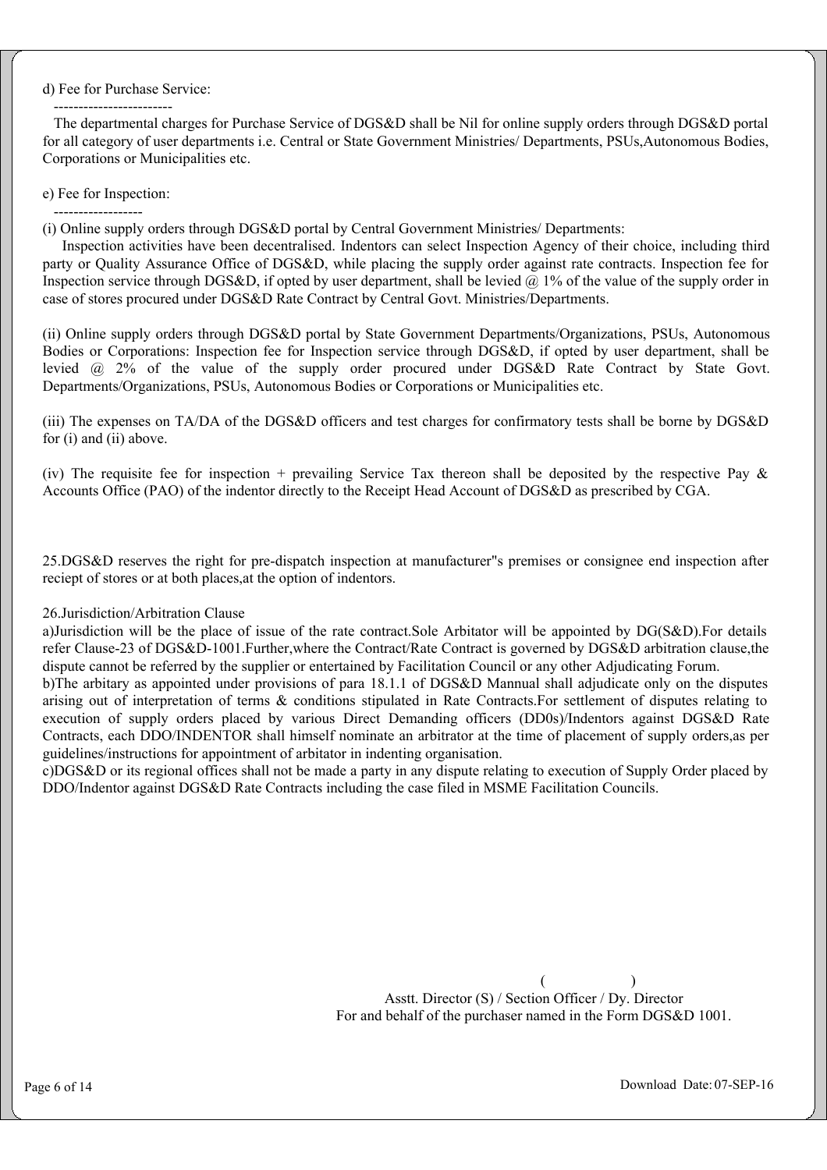#### d) Fee for Purchase Service:

 ------------------------ The departmental charges for Purchase Service of DGS&D shall be Nil for online supply orders through DGS&D portal for all category of user departments i.e. Central or State Government Ministries/ Departments, PSUs,Autonomous Bodies, Corporations or Municipalities etc.

#### e) Fee for Inspection:

 ------------------ (i) Online supply orders through DGS&D portal by Central Government Ministries/ Departments:

 Inspection activities have been decentralised. Indentors can select Inspection Agency of their choice, including third party or Quality Assurance Office of DGS&D, while placing the supply order against rate contracts. Inspection fee for Inspection service through DGS&D, if opted by user department, shall be levied  $\omega$  1% of the value of the supply order in case of stores procured under DGS&D Rate Contract by Central Govt. Ministries/Departments.

(ii) Online supply orders through DGS&D portal by State Government Departments/Organizations, PSUs, Autonomous Bodies or Corporations: Inspection fee for Inspection service through DGS&D, if opted by user department, shall be levied @ 2% of the value of the supply order procured under DGS&D Rate Contract by State Govt. Departments/Organizations, PSUs, Autonomous Bodies or Corporations or Municipalities etc.

(iii) The expenses on TA/DA of the DGS&D officers and test charges for confirmatory tests shall be borne by DGS&D for (i) and (ii) above.

(iv) The requisite fee for inspection + prevailing Service Tax thereon shall be deposited by the respective Pay  $\&$ Accounts Office (PAO) of the indentor directly to the Receipt Head Account of DGS&D as prescribed by CGA.

25.DGS&D reserves the right for pre-dispatch inspection at manufacturer"s premises or consignee end inspection after reciept of stores or at both places,at the option of indentors.

#### 26.Jurisdiction/Arbitration Clause

a)Jurisdiction will be the place of issue of the rate contract.Sole Arbitator will be appointed by DG(S&D).For details refer Clause-23 of DGS&D-1001.Further,where the Contract/Rate Contract is governed by DGS&D arbitration clause,the dispute cannot be referred by the supplier or entertained by Facilitation Council or any other Adjudicating Forum. b)The arbitary as appointed under provisions of para 18.1.1 of DGS&D Mannual shall adjudicate only on the disputes arising out of interpretation of terms & conditions stipulated in Rate Contracts.For settlement of disputes relating to execution of supply orders placed by various Direct Demanding officers (DD0s)/Indentors against DGS&D Rate

guidelines/instructions for appointment of arbitator in indenting organisation. c)DGS&D or its regional offices shall not be made a party in any dispute relating to execution of Supply Order placed by DDO/Indentor against DGS&D Rate Contracts including the case filed in MSME Facilitation Councils.

Contracts, each DDO/INDENTOR shall himself nominate an arbitrator at the time of placement of supply orders,as per

 $($  ) Asstt. Director (S) / Section Officer / Dy. Director For and behalf of the purchaser named in the Form DGS&D 1001.

Page 6 of 14 Download Date: 07-SEP-16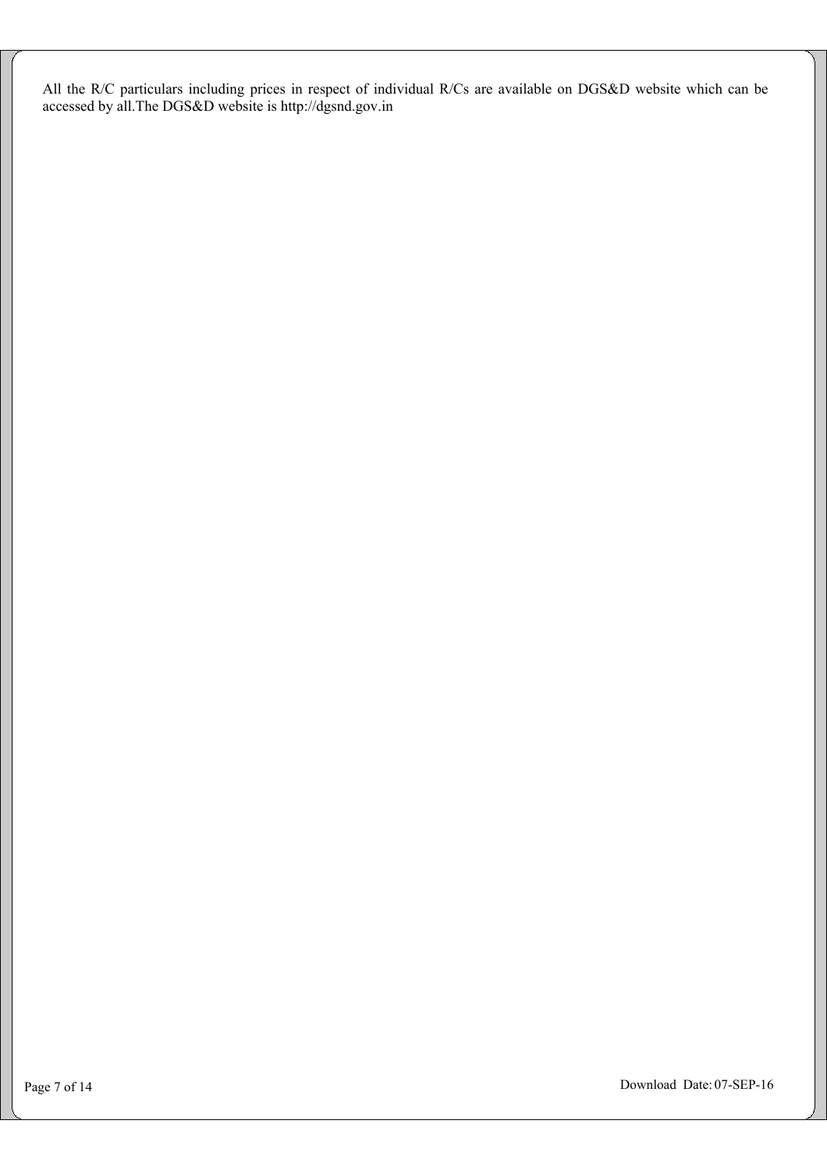All the R/C particulars including prices in respect of individual R/Cs are available on DGS&D website which can be accessed by all.The DGS&D website is http://dgsnd.gov.in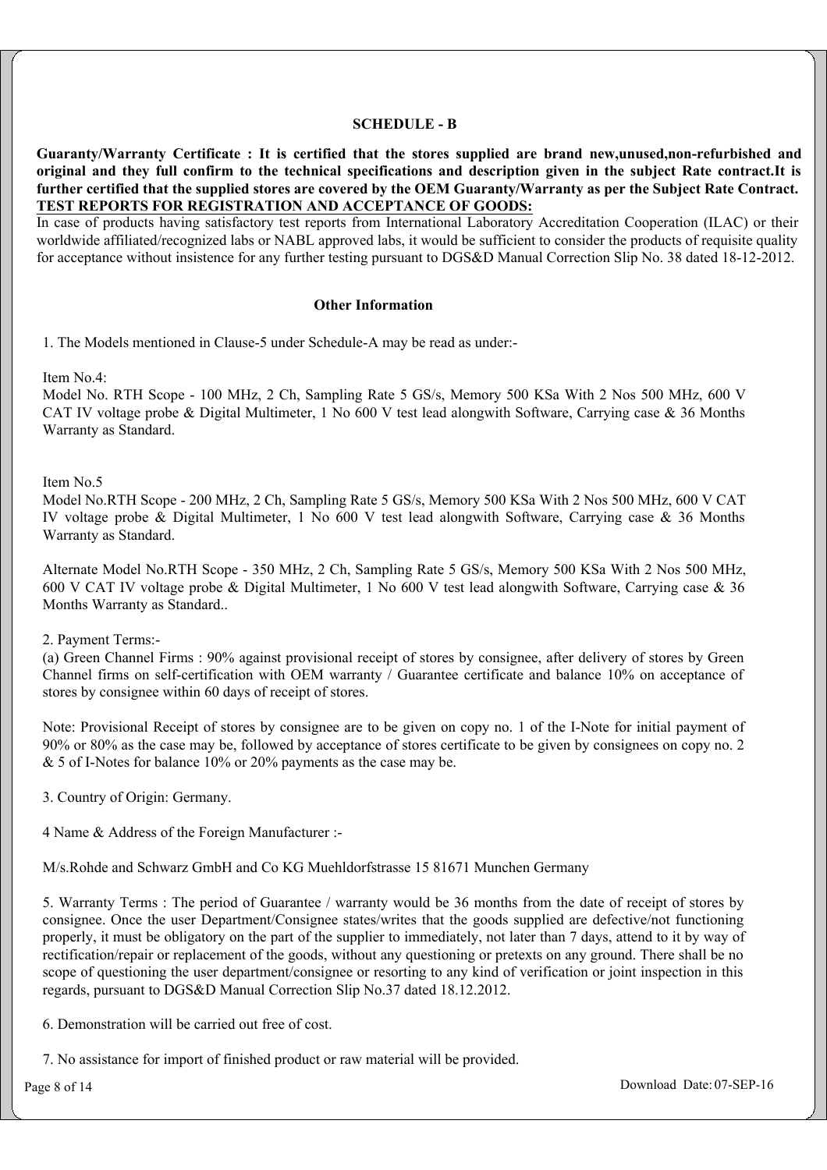### **SCHEDULE - B**

**Guaranty/Warranty Certificate : It is certified that the stores supplied are brand new,unused,non-refurbished and original and they full confirm to the technical specifications and description given in the subject Rate contract.It is further certified that the supplied stores are covered by the OEM Guaranty/Warranty as per the Subject Rate Contract. TEST REPORTS FOR REGISTRATION AND ACCEPTANCE OF GOODS:**

In case of products having satisfactory test reports from International Laboratory Accreditation Cooperation (ILAC) or their worldwide affiliated/recognized labs or NABL approved labs, it would be sufficient to consider the products of requisite quality for acceptance without insistence for any further testing pursuant to DGS&D Manual Correction Slip No. 38 dated 18-12-2012.

#### **Other Information**

1. The Models mentioned in Clause-5 under Schedule-A may be read as under:-

Item No.4:

Model No. RTH Scope - 100 MHz, 2 Ch, Sampling Rate 5 GS/s, Memory 500 KSa With 2 Nos 500 MHz, 600 V CAT IV voltage probe & Digital Multimeter, 1 No 600 V test lead alongwith Software, Carrying case & 36 Months Warranty as Standard.

Item No.5

Model No.RTH Scope - 200 MHz, 2 Ch, Sampling Rate 5 GS/s, Memory 500 KSa With 2 Nos 500 MHz, 600 V CAT IV voltage probe & Digital Multimeter, 1 No 600 V test lead alongwith Software, Carrying case & 36 Months Warranty as Standard.

Alternate Model No.RTH Scope - 350 MHz, 2 Ch, Sampling Rate 5 GS/s, Memory 500 KSa With 2 Nos 500 MHz, 600 V CAT IV voltage probe & Digital Multimeter, 1 No 600 V test lead alongwith Software, Carrying case & 36 Months Warranty as Standard..

2. Payment Terms:-

(a) Green Channel Firms : 90% against provisional receipt of stores by consignee, after delivery of stores by Green Channel firms on self-certification with OEM warranty / Guarantee certificate and balance 10% on acceptance of stores by consignee within 60 days of receipt of stores.

Note: Provisional Receipt of stores by consignee are to be given on copy no. 1 of the I-Note for initial payment of 90% or 80% as the case may be, followed by acceptance of stores certificate to be given by consignees on copy no. 2 & 5 of I-Notes for balance 10% or 20% payments as the case may be.

3. Country of Origin: Germany.

4 Name & Address of the Foreign Manufacturer :-

M/s.Rohde and Schwarz GmbH and Co KG Muehldorfstrasse 15 81671 Munchen Germany

5. Warranty Terms : The period of Guarantee / warranty would be 36 months from the date of receipt of stores by consignee. Once the user Department/Consignee states/writes that the goods supplied are defective/not functioning properly, it must be obligatory on the part of the supplier to immediately, not later than 7 days, attend to it by way of rectification/repair or replacement of the goods, without any questioning or pretexts on any ground. There shall be no scope of questioning the user department/consignee or resorting to any kind of verification or joint inspection in this regards, pursuant to DGS&D Manual Correction Slip No.37 dated 18.12.2012.

6. Demonstration will be carried out free of cost.

7. No assistance for import of finished product or raw material will be provided.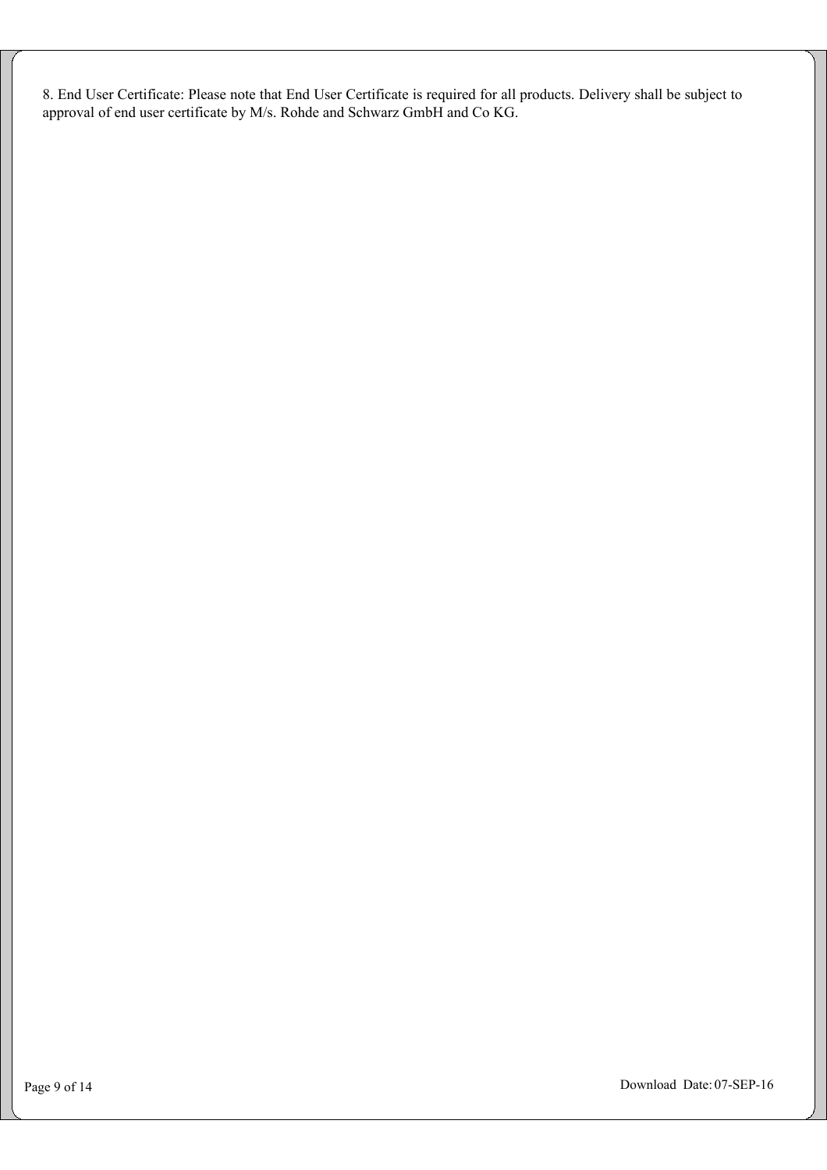8. End User Certificate: Please note that End User Certificate is required for all products. Delivery shall be subject to approval of end user certificate by M/s. Rohde and Schwarz GmbH and Co KG.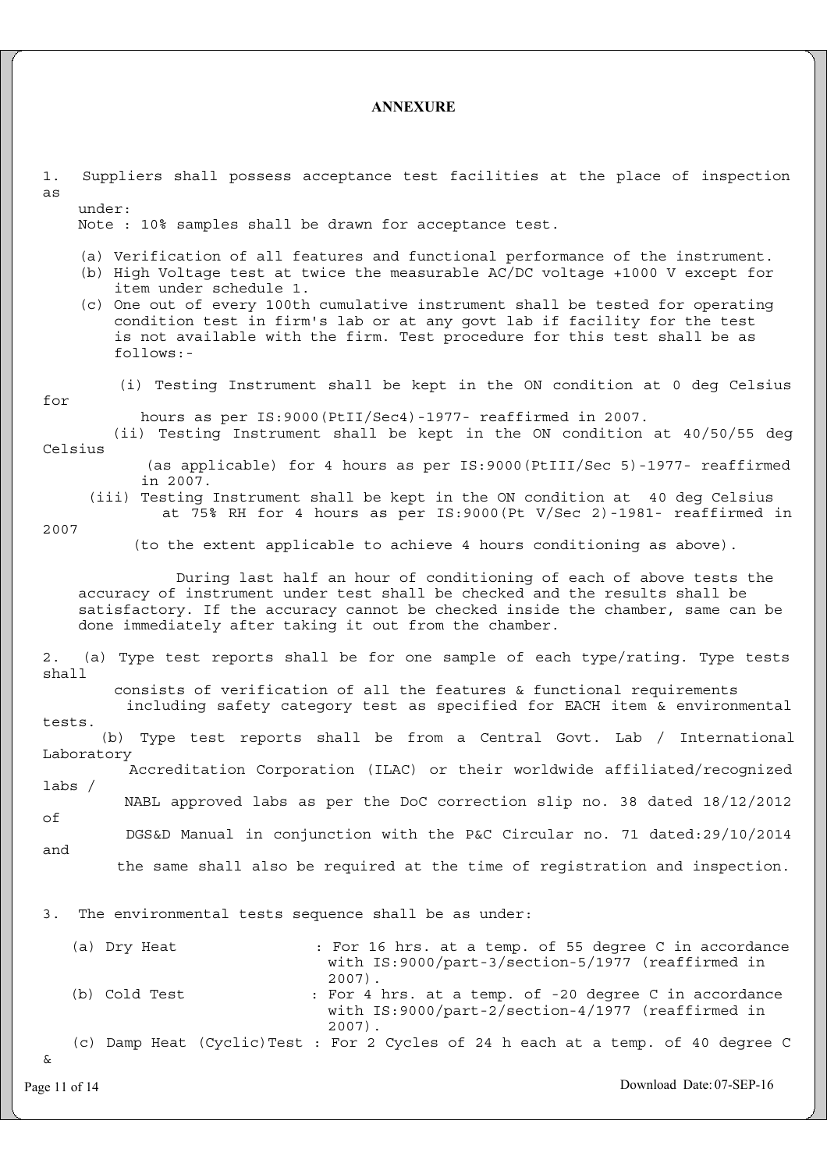### **ANNEXURE**

| Suppliers shall possess acceptance test facilities at the place of inspection<br>$1$ .<br>as<br>under:                                                                                                                                                                                                                                                                                                                                            |
|---------------------------------------------------------------------------------------------------------------------------------------------------------------------------------------------------------------------------------------------------------------------------------------------------------------------------------------------------------------------------------------------------------------------------------------------------|
| Note : 10% samples shall be drawn for acceptance test.                                                                                                                                                                                                                                                                                                                                                                                            |
| (a) Verification of all features and functional performance of the instrument.<br>(b) High Voltage test at twice the measurable AC/DC voltage +1000 V except for<br>item under schedule 1.<br>(c) One out of every 100th cumulative instrument shall be tested for operating<br>condition test in firm's lab or at any govt lab if facility for the test<br>is not available with the firm. Test procedure for this test shall be as<br>follows:- |
| (i) Testing Instrument shall be kept in the ON condition at 0 deg Celsius<br>for                                                                                                                                                                                                                                                                                                                                                                  |
| hours as per IS: 9000 (PtII/Sec4) -1977- reaffirmed in 2007.<br>(ii) Testing Instrument shall be kept in the ON condition at 40/50/55 deg<br>Celsius                                                                                                                                                                                                                                                                                              |
| (as applicable) for 4 hours as per IS: 9000 (PtIII/Sec 5)-1977- reaffirmed<br>in 2007.                                                                                                                                                                                                                                                                                                                                                            |
| (iii) Testing Instrument shall be kept in the ON condition at 40 deg Celsius<br>at 75% RH for 4 hours as per IS: 9000 (Pt V/Sec 2) -1981- reaffirmed in<br>2007                                                                                                                                                                                                                                                                                   |
| (to the extent applicable to achieve 4 hours conditioning as above).                                                                                                                                                                                                                                                                                                                                                                              |
| During last half an hour of conditioning of each of above tests the<br>accuracy of instrument under test shall be checked and the results shall be<br>satisfactory. If the accuracy cannot be checked inside the chamber, same can be<br>done immediately after taking it out from the chamber.                                                                                                                                                   |
| 2. (a) Type test reports shall be for one sample of each type/rating. Type tests<br>shall                                                                                                                                                                                                                                                                                                                                                         |
| consists of verification of all the features & functional requirements<br>including safety category test as specified for EACH item & environmental                                                                                                                                                                                                                                                                                               |
| tests.<br>(b) Type test reports shall be from a Central Govt. Lab / International                                                                                                                                                                                                                                                                                                                                                                 |
| Laboratory<br>Accreditation Corporation (ILAC) or their worldwide affiliated/recognized<br>labs $/$                                                                                                                                                                                                                                                                                                                                               |
| NABL approved labs as per the DoC correction slip no. 38 dated 18/12/2012<br>оf                                                                                                                                                                                                                                                                                                                                                                   |
| DGS&D Manual in conjunction with the P&C Circular no. 71 dated:29/10/2014<br>and                                                                                                                                                                                                                                                                                                                                                                  |
| the same shall also be required at the time of registration and inspection.                                                                                                                                                                                                                                                                                                                                                                       |
| 3.<br>The environmental tests sequence shall be as under:                                                                                                                                                                                                                                                                                                                                                                                         |
| (a) Dry Heat<br>: For 16 hrs. at a temp. of 55 degree C in accordance<br>with IS:9000/part-3/section-5/1977 (reaffirmed in<br>$2007$ ).                                                                                                                                                                                                                                                                                                           |
| (b) Cold Test<br>: For 4 hrs. at a temp. of -20 degree C in accordance<br>with IS:9000/part-2/section-4/1977 (reaffirmed in<br>$2007$ .                                                                                                                                                                                                                                                                                                           |
| (c) Damp Heat (Cyclic) Test : For 2 Cycles of 24 h each at a temp. of 40 degree C<br>&                                                                                                                                                                                                                                                                                                                                                            |
| Download Date: 07-SEP-16<br>Page 11 of 14                                                                                                                                                                                                                                                                                                                                                                                                         |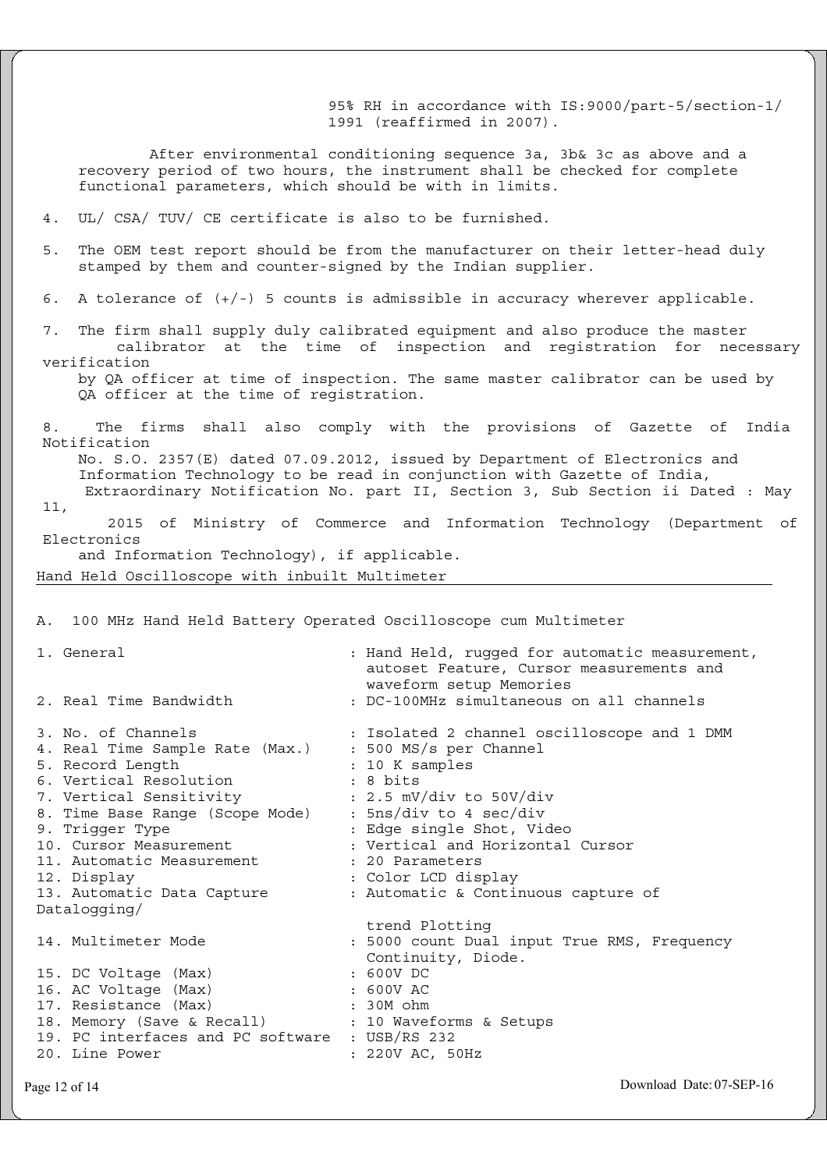95% RH in accordance with IS:9000/part-5/section-1/ 1991 (reaffirmed in 2007). After environmental conditioning sequence 3a, 3b& 3c as above and a recovery period of two hours, the instrument shall be checked for complete functional parameters, which should be with in limits. 4. UL/ CSA/ TUV/ CE certificate is also to be furnished. 5. The OEM test report should be from the manufacturer on their letter-head duly stamped by them and counter-signed by the Indian supplier. 6. A tolerance of  $(+/-)$  5 counts is admissible in accuracy wherever applicable. 7. The firm shall supply duly calibrated equipment and also produce the master calibrator at the time of inspection and registration for necessary verification by QA officer at time of inspection. The same master calibrator can be used by QA officer at the time of registration. 8. The firms shall also comply with the provisions of Gazette of India Notification No. S.O. 2357(E) dated 07.09.2012, issued by Department of Electronics and Information Technology to be read in conjunction with Gazette of India, Extraordinary Notification No. part II, Section 3, Sub Section ii Dated : May 11, 2015 of Ministry of Commerce and Information Technology (Department of Electronics and Information Technology), if applicable. Hand Held Oscilloscope with inbuilt Multimeter A. 100 MHz Hand Held Battery Operated Oscilloscope cum Multimeter 1. General : Hand Held, rugged for automatic measurement, autoset Feature, Cursor measurements and waveform setup Memories 2. Real Time Bandwidth : DC-100MHz simultaneous on all channels 3. No. of Channels : Isolated 2 channel oscilloscope and 1 DMM 4. Real Time Sample Rate (Max.) : 500 MS/s per Channel 5. Record Length : 10 K samples 6. Vertical Resolution : 8 bits 7. Vertical Sensitivity : 2.5 mV/div to 50V/div 8. Time Base Range (Scope Mode) : 5ns/div to 4 sec/div 9. Trigger Type  $\begin{array}{ccc} 9. & Trigger \\ 10. & Cursor Measurement \\ \end{array}$  : Vertical and Horizontal : Vertical and Horizontal Cursor 11. Automatic Measurement : 20 Parameters 12. Display : Color LCD display<br>13. Automatic Data Capture : Automatic & Contin : Automatic & Continuous capture of Datalogging/ trend Plotting 14. Multimeter Mode : 5000 count Dual input True RMS, Frequency Continuity, Diode.<br>: 600V DC 15. DC Voltage (Max) : 600V DC<br>16. AC Voltage (Max) : 600V AC<br>17. Resistance (Max) : 30M ohm 16. AC Voltage (Max) : 600V AC 17. Resistance (Max) : 30M ohm 18. Memory (Save & Recall) : 10 Waveforms & Setups 19. PC interfaces and PC software : USB/RS 232 20. Line Power : 220V AC, 50Hz

Page 12 of 14 Download Date: 07-SEP-16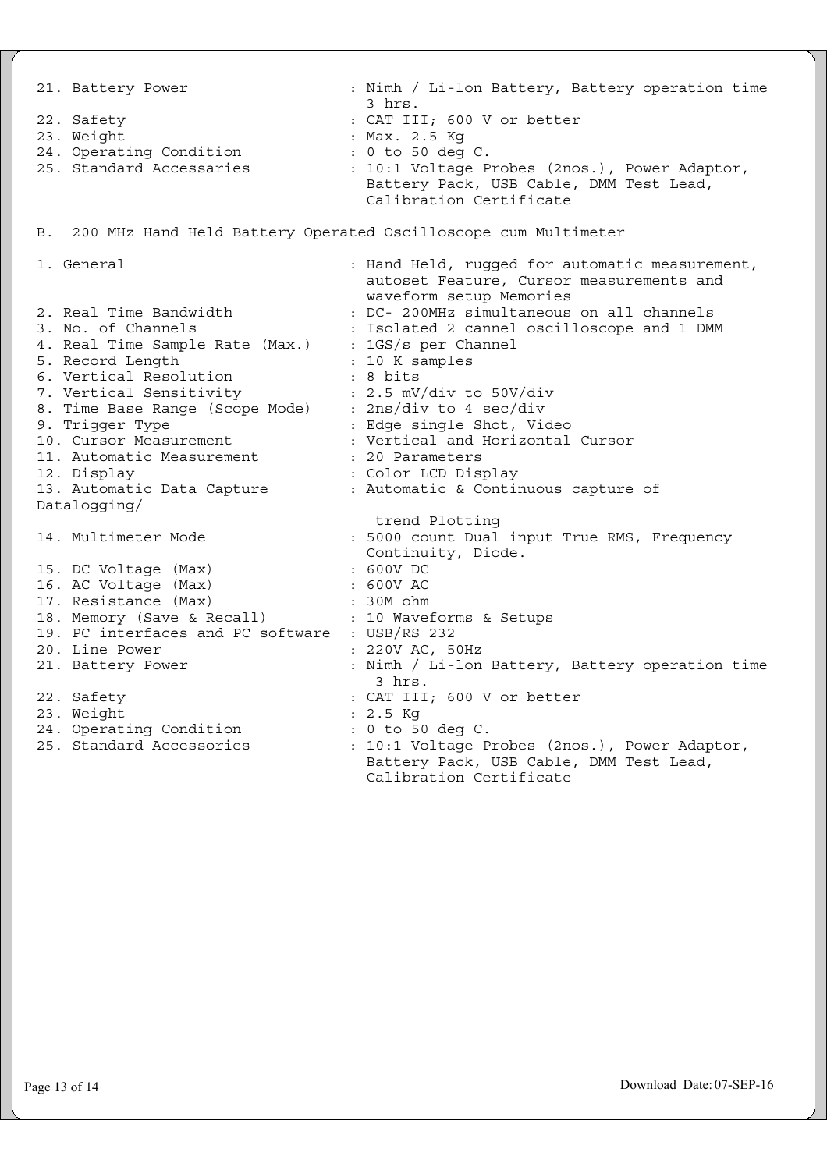21. Battery Power : Nimh / Li-lon Battery, Battery operation time 3 hrs. 22. Safety : CAT III; 600 V or better 23. Weight : Max. 2.5 Kg 24. Operating Condition : 0 to 50 deg C. 25. Standard Accessaries : 10:1 Voltage Probes (2nos.), Power Adaptor, Battery Pack, USB Cable, DMM Test Lead, Calibration Certificate B. 200 MHz Hand Held Battery Operated Oscilloscope cum Multimeter 1. General : Hand Held, rugged for automatic measurement, autoset Feature, Cursor measurements and waveform setup Memories 2. Real Time Bandwidth : DC- 200MHz simultaneous on all channels<br>3. No. of Channels : Isolated 2 cannel oscilloscope and 1 DMM : Isolated 2 cannel oscilloscope and 1 DMM 4. Real Time Sample Rate (Max.) : 165/8 per Channel<br>5. Record Length : 10 K samples 5. Record Length : 10 K samples 6. Vertical Resolution : 8 bits 7. Vertical Sensitivity : 2.5 mV/div to 50V/div 8. Time Base Range (Scope Mode) : 2ns/div to 4 sec/div 9. Trigger Type  $\qquad \qquad :$  Edge single Shot, Video 10. Cursor Measurement : Vertical and Horizontal Cursor 11. Automatic Measurement : 20 Parameters 12. Display : Color LCD Display 13. Automatic Data Capture : Automatic & Continuous capture of Datalogging/ trend Plotting 14. Multimeter Mode : 5000 count Dual input True RMS, Frequency Continuity, Diode.<br>: 600V DC 15. DC Voltage (Max) : 600V DC<br>16. AC Voltage (Max) : 600V AC 15. DU voltage (Max)<br>16. AC Voltage (Max) 17. Resistance (Max) : 30M ohm 18. Memory (Save & Recall) : 10 Waveforms & Setups 19. PC interfaces and PC software : USB/RS 232 20. Line Power : 220V AC, 50Hz 21. Battery Power : Nimh / Li-lon Battery, Battery operation time 3 hrs. 22. Safety : CAT III; 600 V or better 23. Weight : 2.5 Kg 24. Operating Condition : 0 to 50 deg C. 25. Standard Accessories : 10:1 Voltage Probes (2nos.), Power Adaptor, Battery Pack, USB Cable, DMM Test Lead, Calibration Certificate